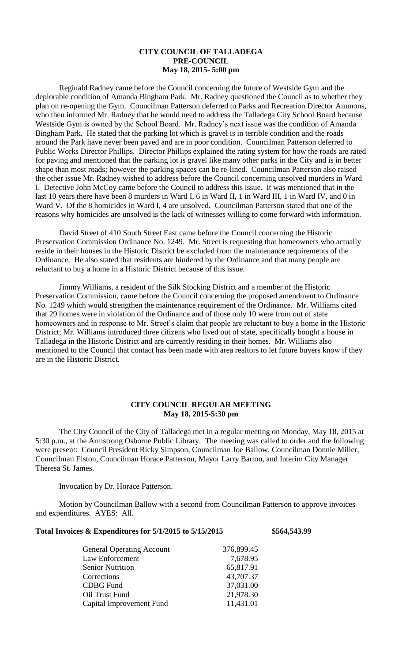# **CITY COUNCIL OF TALLADEGA PRE-COUNCIL May 18, 2015- 5:00 pm**

Reginald Radney came before the Council concerning the future of Westside Gym and the deplorable condition of Amanda Bingham Park. Mr. Radney questioned the Council as to whether they plan on re-opening the Gym. Councilman Patterson deferred to Parks and Recreation Director Ammons, who then informed Mr. Radney that he would need to address the Talladega City School Board because Westside Gym is owned by the School Board. Mr. Radney's next issue was the condition of Amanda Bingham Park. He stated that the parking lot which is gravel is in terrible condition and the roads around the Park have never been paved and are in poor condition. Councilman Patterson deferred to Public Works Director Phillips. Director Phillips explained the rating system for how the roads are rated for paving and mentioned that the parking lot is gravel like many other parks in the City and is in better shape than most roads; however the parking spaces can be re-lined. Councilman Patterson also raised the other issue Mr. Radney wished to address before the Council concerning unsolved murders in Ward I. Detective John McCoy came before the Council to address this issue. It was mentioned that in the last 10 years there have been 8 murders in Ward I, 6 in Ward II, 1 in Ward III, 1 in Ward IV, and 0 in Ward V. Of the 8 homicides in Ward I, 4 are unsolved. Councilman Patterson stated that one of the reasons why homicides are unsolved is the lack of witnesses willing to come forward with information.

David Street of 410 South Street East came before the Council concerning the Historic Preservation Commission Ordinance No. 1249. Mr. Street is requesting that homeowners who actually reside in their houses in the Historic District be excluded from the maintenance requirements of the Ordinance. He also stated that residents are hindered by the Ordinance and that many people are reluctant to buy a home in a Historic District because of this issue.

Jimmy Williams, a resident of the Silk Stocking District and a member of the Historic Preservation Commission, came before the Council concerning the proposed amendment to Ordinance No. 1249 which would strengthen the maintenance requirement of the Ordinance. Mr. Williams cited that 29 homes were in violation of the Ordinance and of those only 10 were from out of state homeowners and in response to Mr. Street's claim that people are reluctant to buy a home in the Historic District; Mr. Williams introduced three citizens who lived out of state, specifically bought a house in Talladega in the Historic District and are currently residing in their homes. Mr. Williams also mentioned to the Council that contact has been made with area realtors to let future buyers know if they are in the Historic District.

### **CITY COUNCIL REGULAR MEETING May 18, 2015-5:30 pm**

The City Council of the City of Talladega met in a regular meeting on Monday, May 18, 2015 at 5:30 p.m., at the Armstrong Osborne Public Library. The meeting was called to order and the following were present: Council President Ricky Simpson, Councilman Joe Ballow, Councilman Donnie Miller, Councilman Elston, Councilman Horace Patterson, Mayor Larry Barton, and Interim City Manager Theresa St. James.

Invocation by Dr. Horace Patterson.

Motion by Councilman Ballow with a second from Councilman Patterson to approve invoices and expenditures. AYES: All.

#### **Total Invoices & Expenditures for 5/1/2015 to 5/15/2015 \$564,543.99**

| <b>General Operating Account</b> | 376,899.45 |
|----------------------------------|------------|
| Law Enforcement                  | 7,678.95   |
| <b>Senior Nutrition</b>          | 65,817.91  |
| Corrections                      | 43,707.37  |
| <b>CDBG</b> Fund                 | 37,031.00  |
| Oil Trust Fund                   | 21,978.30  |
| Capital Improvement Fund         | 11,431.01  |
|                                  |            |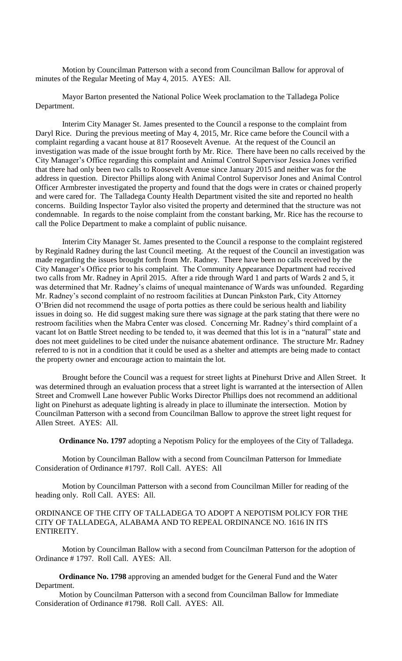Motion by Councilman Patterson with a second from Councilman Ballow for approval of minutes of the Regular Meeting of May 4, 2015. AYES: All.

Mayor Barton presented the National Police Week proclamation to the Talladega Police Department.

Interim City Manager St. James presented to the Council a response to the complaint from Daryl Rice. During the previous meeting of May 4, 2015, Mr. Rice came before the Council with a complaint regarding a vacant house at 817 Roosevelt Avenue. At the request of the Council an investigation was made of the issue brought forth by Mr. Rice. There have been no calls received by the City Manager's Office regarding this complaint and Animal Control Supervisor Jessica Jones verified that there had only been two calls to Roosevelt Avenue since January 2015 and neither was for the address in question. Director Phillips along with Animal Control Supervisor Jones and Animal Control Officer Armbrester investigated the property and found that the dogs were in crates or chained properly and were cared for. The Talladega County Health Department visited the site and reported no health concerns. Building Inspector Taylor also visited the property and determined that the structure was not condemnable. In regards to the noise complaint from the constant barking, Mr. Rice has the recourse to call the Police Department to make a complaint of public nuisance.

Interim City Manager St. James presented to the Council a response to the complaint registered by Reginald Radney during the last Council meeting. At the request of the Council an investigation was made regarding the issues brought forth from Mr. Radney. There have been no calls received by the City Manager's Office prior to his complaint. The Community Appearance Department had received two calls from Mr. Radney in April 2015. After a ride through Ward 1 and parts of Wards 2 and 5, it was determined that Mr. Radney's claims of unequal maintenance of Wards was unfounded. Regarding Mr. Radney's second complaint of no restroom facilities at Duncan Pinkston Park, City Attorney O'Brien did not recommend the usage of porta potties as there could be serious health and liability issues in doing so. He did suggest making sure there was signage at the park stating that there were no restroom facilities when the Mabra Center was closed. Concerning Mr. Radney's third complaint of a vacant lot on Battle Street needing to be tended to, it was deemed that this lot is in a "natural" state and does not meet guidelines to be cited under the nuisance abatement ordinance. The structure Mr. Radney referred to is not in a condition that it could be used as a shelter and attempts are being made to contact the property owner and encourage action to maintain the lot.

Brought before the Council was a request for street lights at Pinehurst Drive and Allen Street. It was determined through an evaluation process that a street light is warranted at the intersection of Allen Street and Cromwell Lane however Public Works Director Phillips does not recommend an additional light on Pinehurst as adequate lighting is already in place to illuminate the intersection. Motion by Councilman Patterson with a second from Councilman Ballow to approve the street light request for Allen Street. AYES: All.

**Ordinance No. 1797** adopting a Nepotism Policy for the employees of the City of Talladega.

Motion by Councilman Ballow with a second from Councilman Patterson for Immediate Consideration of Ordinance #1797. Roll Call. AYES: All

Motion by Councilman Patterson with a second from Councilman Miller for reading of the heading only. Roll Call. AYES: All.

### ORDINANCE OF THE CITY OF TALLADEGA TO ADOPT A NEPOTISM POLICY FOR THE CITY OF TALLADEGA, ALABAMA AND TO REPEAL ORDINANCE NO. 1616 IN ITS ENTIREITY.

Motion by Councilman Ballow with a second from Councilman Patterson for the adoption of Ordinance # 1797. Roll Call. AYES: All.

**Ordinance No. 1798** approving an amended budget for the General Fund and the Water Department.

Motion by Councilman Patterson with a second from Councilman Ballow for Immediate Consideration of Ordinance #1798. Roll Call. AYES: All.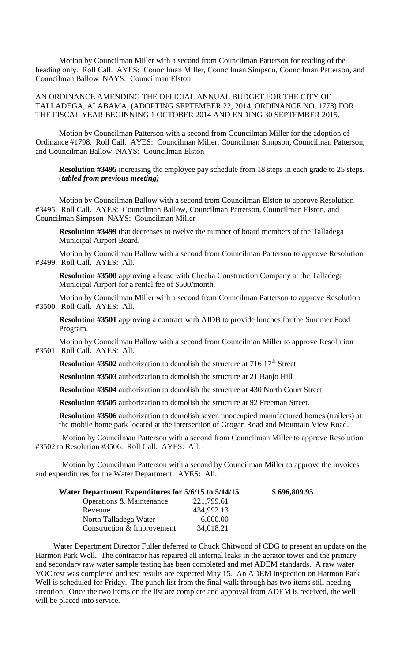Motion by Councilman Miller with a second from Councilman Patterson for reading of the heading only. Roll Call. AYES: Councilman Miller, Councilman Simpson, Councilman Patterson, and Councilman Ballow NAYS: Councilman Elston

AN ORDINANCE AMENDING THE OFFICIAL ANNUAL BUDGET FOR THE CITY OF TALLADEGA, ALABAMA, (ADOPTING SEPTEMBER 22, 2014, ORDINANCE NO. 1778) FOR THE FISCAL YEAR BEGINNING 1 OCTOBER 2014 AND ENDING 30 SEPTEMBER 2015.

Motion by Councilman Patterson with a second from Councilman Miller for the adoption of Ordinance #1798. Roll Call. AYES: Councilman Miller, Councilman Simpson, Councilman Patterson, and Councilman Ballow NAYS: Councilman Elston

**Resolution #3495** increasing the employee pay schedule from 18 steps in each grade to 25 steps. (*tabled from previous meeting)*

Motion by Councilman Ballow with a second from Councilman Elston to approve Resolution #3495. Roll Call. AYES: Councilman Ballow, Councilman Patterson, Councilman Elston, and Councilman Simpson NAYS: Councilman Miller

**Resolution #3499** that decreases to twelve the number of board members of the Talladega Municipal Airport Board.

Motion by Councilman Ballow with a second from Councilman Patterson to approve Resolution #3499. Roll Call. AYES: All.

**Resolution #3500** approving a lease with Cheaha Construction Company at the Talladega Municipal Airport for a rental fee of \$500/month.

Motion by Councilman Miller with a second from Councilman Patterson to approve Resolution #3500. Roll Call. AYES: All.

**Resolution #3501** approving a contract with AIDB to provide lunches for the Summer Food Program.

Motion by Councilman Ballow with a second from Councilman Miller to approve Resolution #3501. Roll Call. AYES: All.

**Resolution #3502** authorization to demolish the structure at 716 17<sup>th</sup> Street

**Resolution #3503** authorization to demolish the structure at 21 Banjo Hill

**Resolution #3504** authorization to demolish the structure at 430 North Court Street

**Resolution #3505** authorization to demolish the structure at 92 Freeman Street.

**Resolution #3506** authorization to demolish seven unoccupied manufactured homes (trailers) at the mobile home park located at the intersection of Grogan Road and Mountain View Road.

Motion by Councilman Patterson with a second from Councilman Miller to approve Resolution #3502 to Resolution #3506. Roll Call. AYES: All.

Motion by Councilman Patterson with a second by Councilman Miller to approve the invoices and expenditures for the Water Department. AYES: All.

| Water Department Expenditures for 5/6/15 to 5/14/15 |            | \$696,809.95 |
|-----------------------------------------------------|------------|--------------|
| Operations & Maintenance                            | 221,799.61 |              |
| Revenue                                             | 434,992.13 |              |
| North Talladega Water                               | 6,000.00   |              |
| Construction & Improvement                          | 34,018.21  |              |

Water Department Director Fuller deferred to Chuck Chitwood of CDG to present an update on the Harmon Park Well. The contractor has repaired all internal leaks in the aerator tower and the primary and secondary raw water sample testing has been completed and met ADEM standards. A raw water VOC test was completed and test results are expected May 15. An ADEM inspection on Harmon Park Well is scheduled for Friday. The punch list from the final walk through has two items still needing attention. Once the two items on the list are complete and approval from ADEM is received, the well will be placed into service.